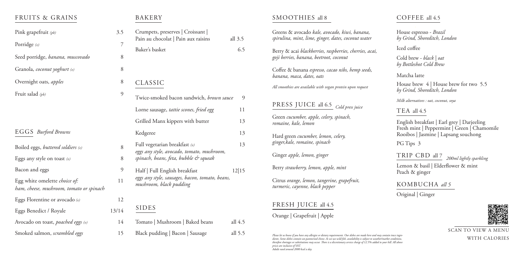#### FRUITS & GRAINS

| Pink grapefruit (pb)                                                              | 3.5   |  |
|-----------------------------------------------------------------------------------|-------|--|
| Porridge $(v)$                                                                    | 7     |  |
| Seed porridge, banana, muscovado                                                  | 8     |  |
| Granola, <i>coconut yoghurt</i> (v)                                               | 8     |  |
| Overnight oats, apples                                                            | 8     |  |
| Fruit salad $(pb)$                                                                | 9     |  |
|                                                                                   |       |  |
|                                                                                   |       |  |
| <b>EGGS</b> Burford Browns                                                        |       |  |
| Boiled eggs, buttered soldiers (v)                                                | 8     |  |
| Eggs any style on toast $(v)$                                                     | 8     |  |
| Bacon and eggs                                                                    | 9     |  |
| Egg white omelette <i>choice of</i> :<br>ham, cheese, mushroom, tomato or spinach | 11    |  |
| Eggs Florentine or avocado $\omega$                                               | 12    |  |
| Eggs Benedict / Royale                                                            | 13/14 |  |
| Avocado on toast, poached eggs (v)                                                | 14    |  |
| Smoked salmon, scrambled eggs                                                     | 15    |  |

# BAKERY

| Crumpets, preserves   Croissant  <br>Pain au chocolat   Pain aux raisins            | all $3.5$ |
|-------------------------------------------------------------------------------------|-----------|
| Baker's basket                                                                      | 6.5       |
|                                                                                     |           |
|                                                                                     |           |
| CLASSIC                                                                             |           |
| Twice-smoked bacon sandwich, brown sauce                                            | 9         |
| Lorne sausage, tattie scones, fried egg                                             | 11        |
| Grilled Manx kippers with butter                                                    | 13        |
| Kedgeree                                                                            | 13        |
| Full vegetarian breakfast $\omega$                                                  | 13        |
| eggs any style, avocado, tomato, mushroom,<br>spinach, beans, feta, bubble & squeak |           |
| Half   Full English breakfast                                                       | 12 15     |
| eggs any style, sausages, bacon, tomato, beans,<br>mushroom, black pudding          |           |
|                                                                                     |           |
| SIDES                                                                               |           |
| Tomato   Mushroom   Baked beans                                                     | all 4.5   |

Black pudding | Bacon | Sausage all 5.5

# SMOOTHIES all 8

Please let us know if you have any allergies or dietary requirements. Our dishes are made here and may contain trace ingre-<br>dients. Some dishes contain un-pasteurised cheese. As we use wild fish, availability is subject to *therefore shortages or substitutions may occur. There is a discretionary service charge of 12.5% added to your bill. All above prices are inclusive of VAT. Adults need around 2000 kcal a day.*

| Greens & avocado kale, avocado, kiwi, banana,<br>spirulina, mint, lime, ginger, dates, coconut water |
|------------------------------------------------------------------------------------------------------|
| Berry & acai blackberries, raspberries, cherries, acai,<br>goji berries, banana, beetroot, coconut   |
| Coffee & banana espresso, cacao nibs, hemp seeds,<br>banana, maca, dates, oats                       |
| All smoothies are available with vegan protein upon request                                          |
|                                                                                                      |
| PRESS JUICE all 6.5 Cold press juice                                                                 |
| Green cucumber, apple, celery, spinach,<br>romaine, kale, lemon                                      |
| Hard green <i>cucumber</i> , <i>lemon</i> , <i>celery</i> ,<br>ginger, kale, romaine, spinach        |
| Ginger apple, lemon, ginger                                                                          |
| Berry strawberry, lemon, apple, mint                                                                 |
| Citrus orange, lemon, tangerine, grapefruit,<br>turmeric, cayenne, black pepper                      |
| FRESH JUICE all 4.5                                                                                  |
| Orange   Grapefruit   Apple                                                                          |

#### COFFEE all 4.5

House espresso - *Brazil by Grind, Shoreditch, London*

Iced coffee

Cold brew - *black | oat by Bottleshot Cold Brew*

Matcha latte

House brew 4 | House brew for two 5.5 *by Grind, Shoreditch, London*

*Milk alternatives : oat, coconut, soya*

TEA all 4.5

English breakfast | Earl grey | Darjeeling Fresh mint | Peppermint | Green | Chamomile Rooibos | Jasmine | Lapsang souchong

PG Tips 3

# KOMBUCHA *all 5*

Original | Ginger



Lemon & basil | Elderflower & mint Peach & ginger

TRIP CBD all 7 *200ml lightly sparkling*

SCAN TO VIEW A MENU